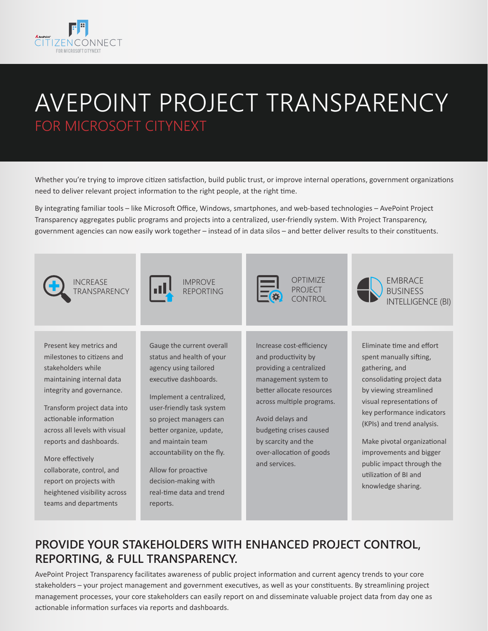

## AVEPOINT PROJECT TRANSPARENCY FOR MICROSOFT CITYNEXT

Whether you're trying to improve citizen satisfaction, build public trust, or improve internal operations, government organizations need to deliver relevant project information to the right people, at the right time.

By integrating familiar tools – like Microsoft Office, Windows, smartphones, and web-based technologies – AvePoint Project Transparency aggregates public programs and projects into a centralized, user-friendly system. With Project Transparency, government agencies can now easily work together – instead of in data silos – and better deliver results to their constituents.



## **PROVIDE YOUR STAKEHOLDERS WITH ENHANCED PROJECT CONTROL, REPORTING, & FULL TRANSPARENCY.**

AvePoint Project Transparency facilitates awareness of public project information and current agency trends to your core stakeholders – your project management and government executives, as well as your constituents. By streamlining project management processes, your core stakeholders can easily report on and disseminate valuable project data from day one as actionable information surfaces via reports and dashboards.